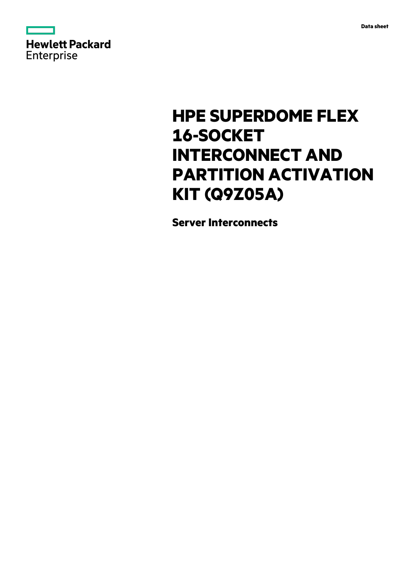



# **HPE SUPERDOME FLEX 16-SOCKET INTERCONNECT AND PARTITION ACTIVATION KIT (Q9Z05A)**

**Server Interconnects**